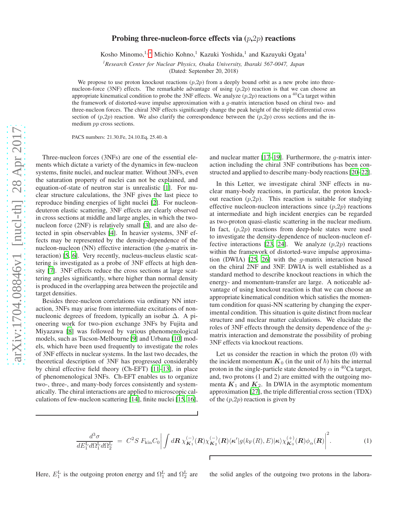## Probing three-nucleon-force effects via  $(p,2p)$  reactions

Kosho Minomo,<sup>1,\*</sup> Michio Kohno,<sup>1</sup> Kazuki Yoshida,<sup>1</sup> and Kazuyuki Ogata<sup>1</sup>

*<sup>1</sup>Research Center for Nuclear Physics, Osaka University, Ibaraki 567-0047, Japan*

(Dated: September 20, 2018)

We propose to use proton knockout reactions  $(p,2p)$  from a deeply bound orbit as a new probe into threenucleon-force (3NF) effects. The remarkable advantage of using  $(p,2p)$  reaction is that we can choose an appropriate kinematical condition to probe the 3NF effects. We analyze  $(p,2p)$  reactions on a <sup>40</sup>Ca target within the framework of distorted-wave impulse approximation with a g-matrix interaction based on chiral two- and three-nucleon forces. The chiral 3NF effects significantly change the peak height of the triple differential cross section of  $(p,2p)$  reaction. We also clarify the correspondence between the  $(p,2p)$  cross sections and the inmedium pp cross sections.

PACS numbers: 21.30.Fe, 24.10.Eq, 25.40.-h

Three-nucleon forces (3NFs) are one of the essential elements which dictate a variety of the dynamics in few-nucleon systems, finite nuclei, and nuclear matter. Without 3NFs, even the saturation property of nuclei can not be explained, and equation-of-state of neutron star is unrealistic [\[1\]](#page-3-0). For nuclear structure calculations, the 3NF gives the last piece to reproduce binding energies of light nuclei [\[2](#page-3-1)]. For nucleondeuteron elastic scattering, 3NF effects are clearly observed in cross sections at middle and large angles, in which the twonucleon force (2NF) is relatively small [\[3](#page-3-2)], and are also detected in spin observables [\[4\]](#page-3-3). In heavier systems, 3NF effects may be represented by the density-dependence of the nucleon-nucleon (NN) effective interaction (the g-matrix interaction) [\[5,](#page-3-4) [6](#page-3-5)]. Very recently, nucleus-nucleus elastic scattering is investigated as a probe of 3NF effects at high density [\[7](#page-3-6)]. 3NF effects reduce the cross sections at large scattering angles significantly, where higher than normal density is produced in the overlapping area between the projectile and target densities.

Besides three-nucleon correlations via ordinary NN interaction, 3NFs may arise from intermediate excitations of nonnucleonic degrees of freedom, typically an isobar ∆. A pioneering work for two-pion exchange 3NFs by Fujita and Miyazawa [\[8](#page-3-7)] was followed by various phenomenological models, such as Tucson-Melbourne [\[9](#page-3-8)] and Urbana [\[10\]](#page-3-9) models, which have been used frequently to investigate the roles of 3NF effects in nuclear systems. In the last two decades, the theoretical description of 3NF has progressed considerably by chiral effective field theory (Ch-EFT) [\[11](#page-3-10)[–13\]](#page-3-11), in place of phenomenological 3NFs. Ch-EFT enables us to organize two-, three-, and many-body forces consistently and systematically. The chiral interactions are applied to microscopic calculations of few-nucleon scattering [\[14](#page-4-0)], finite nuclei [\[15,](#page-4-1) [16](#page-4-2)],

and nuclear matter  $[17–19]$  $[17–19]$  $[17–19]$ . Furthermore, the *q*-matrix interaction including the chiral 3NF contributions has been constructed and applied to describe many-body reactions [\[20](#page-4-5)[–22](#page-4-6)].

In this Letter, we investigate chiral 3NF effects in nuclear many-body reactions, in particular, the proton knockout reaction  $(p,2p)$ . This reaction is suitable for studying effective nucleon-nucleon interactions since  $(p,2p)$  reactions at intermediate and high incident energies can be regarded as two-proton quasi-elastic scattering in the nuclear medium. In fact,  $(p,2p)$  reactions from deep-hole states were used to investigate the density-dependence of nucleon-nucleon ef-fective interactions [\[23,](#page-4-7) [24\]](#page-4-8). We analyze  $(p,2p)$  reactions within the framework of distorted-wave impulse approximation (DWIA) [\[25,](#page-4-9) [26\]](#page-4-10) with the g-matrix interaction based on the chiral 2NF and 3NF. DWIA is well established as a standard method to describe knockout reactions in which the energy- and momentum-transfer are large. A noticeable advantage of using knockout reaction is that we can choose an appropriate kinematical condition which satisfies the momentum condition for quasi-NN scattering by changing the experimental condition. This situation is quite distinct from nuclear structure and nuclear matter calculations. We elucidate the roles of 3NF effects through the density dependence of the gmatrix interaction and demonstrate the possibility of probing 3NF effects via knockout reactions.

Let us consider the reaction in which the proton (0) with the incident momentum  $K_0$  (in the unit of  $\hbar$ ) hits the internal proton in the single-particle state denoted by  $\alpha$  in <sup>40</sup>Ca target, and, two protons (1 and 2) are emitted with the outgoing momenta  $K_1$  and  $K_2$ . In DWIA in the asymptotic momentum approximation [\[27\]](#page-4-11), the triple differential cross section (TDX) of the  $(p,2p)$  reaction is given by

<span id="page-0-0"></span>
$$
\frac{d^3\sigma}{dE_1^L d\Omega_1^L d\Omega_2^L} = C^2 S F_{\text{kin}} C_0 \bigg| \int d\mathbf{R} \,\chi_{\mathbf{K}_1}^{(-)}(\mathbf{R}) \chi_{\mathbf{K}_2}^{(-)}(\mathbf{R}) \langle \kappa' | g(k_{\text{F}}(\mathbf{R}), E) | \kappa \rangle \chi_{\mathbf{K}_0}^{(+)}(\mathbf{R}) \phi_\alpha(\mathbf{R}) \bigg|^2. \tag{1}
$$

Here,  $E_1^L$  is the outgoing proton energy and  $\Omega_1^L$  and  $\Omega_2^L$ 

the solid angles of the outgoing two protons in the labora-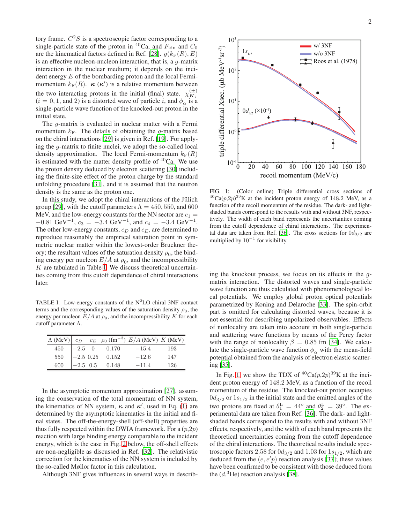tory frame.  $C<sup>2</sup>S$  is a spectroscopic factor corresponding to a single-particle state of the proton in <sup>40</sup>Ca, and  $F_{kin}$  and  $C_0$ are the kinematical factors defined in Ref. [\[28](#page-4-12)].  $g(k_F(R), E)$ is an effective nucleon-nucleon interaction, that is, a g-matrix interaction in the nuclear medium; it depends on the incident energy  $E$  of the bombarding proton and the local Fermimomentum  $k_F(R)$ .  $\kappa(\kappa')$  is a relative momentum between the two interacting protons in the initial (final) state.  $\chi_{\mathbf{K}_i}^{(\pm)}$  $(i = 0, 1, \text{ and } 2)$  is a distorted wave of particle i, and  $\phi_{\alpha}$  is a single-particle wave function of the knocked-out proton in the initial state.

The *g*-matrix is evaluated in nuclear matter with a Fermi momentum  $k_F$ . The details of obtaining the *q*-matrix based on the chiral interactions [\[29\]](#page-4-13) is given in Ref. [\[19\]](#page-4-4). For applying the g-matrix to finite nuclei, we adopt the so-called local density approximation. The local Fermi-momentum  $k_F(R)$ is estimated with the matter density profile of  ${}^{40}$ Ca. We use the proton density deduced by electron scattering [\[30](#page-4-14)] including the finite-size effect of the proton charge by the standard unfolding procedure [\[31](#page-4-15)], and it is assumed that the neutron density is the same as the proton one.

In this study, we adopt the chiral interactions of the Jülich group [\[29\]](#page-4-13), with the cutoff parameters  $\Lambda = 450, 550,$  and 600 MeV, and the low-energy constants for the NN sector are  $c_1 =$  $-0.81 \text{ GeV}^{-1}$ ,  $c_3 = -3.4 \text{ GeV}^{-1}$ , and  $c_4 = -3.4 \text{ GeV}^{-1}$ . The other low-energy constants,  $c_D$  and  $c_E$ , are determined to reproduce reasonably the empirical saturation point in symmetric nuclear matter within the lowest-order Bruckner theory; the resultant values of the saturation density  $\rho_0$ , the binding energy per nucleon  $E/A$  at  $\rho_0$ , and the incompressibility  $K$  are tabulated in Table [I.](#page-1-0) We discuss theoretical uncertainties coming from this cutoff dependence of chiral interactions later.

<span id="page-1-0"></span>TABLE I: Low-energy constants of the  $N^2LO$  chiral 3NF contact terms and the corresponding values of the saturation density  $\rho_0$ , the energy per nucleon  $E/A$  at  $\rho_0$ , and the incompressibility K for each cutoff parameter Λ.

|     |  |                                                                                                                   | $\Lambda$ (MeV) $c_D$ $c_E$ $\rho_0$ (fm <sup>-3</sup> ) $E/A$ (MeV) $K$ (MeV) |       |
|-----|--|-------------------------------------------------------------------------------------------------------------------|--------------------------------------------------------------------------------|-------|
|     |  | $\begin{array}{c cc} 450 & -2.5 & 0 & 0.170 \\ 550 & -2.5 & 0.25 & 0.152 \\ 600 & -2.5 & 0.5 & 0.148 \end{array}$ | $-15.4$                                                                        | - 193 |
|     |  |                                                                                                                   | $-12.6$                                                                        | 147   |
| 600 |  |                                                                                                                   | $-114$                                                                         | 126   |

In the asymptotic momentum approximation [\[27\]](#page-4-11), assuming the conservation of the total momentum of NN system, the kinematics of NN system,  $\kappa$  and  $\kappa'$ , used in Eq. [\(1\)](#page-0-0) are determined by the asymptotic kinematics in the initial and final states. The off-the-energy-shell (off-shell) properties are thus fully respected within the DWIA framework. For a  $(p,2p)$ reaction with large binding energy comparable to the incident energy, which is the case in Fig. [2](#page-2-0) below, the off-shell effects are non-negligible as discussed in Ref. [\[32\]](#page-4-16). The relativistic correction for the kinematics of the NN system is included by the so-called Møllor factor in this calculation.

Although 3NF gives influences in several ways in describ-



<span id="page-1-1"></span>FIG. 1: (Color online) Triple differential cross sections of  $^{40}Ca(p,2p)^{39}K$  at the incident proton energy of 148.2 MeV, as a function of the recoil momentum of the residue. The dark- and lightshaded bands correspond to the results with and without 3NF, respectively. The width of each band represents the uncertainties coming from the cutoff dependence of chiral interactions. The experimen-tal data are taken from Ref. [\[36](#page-4-17)]. The cross sections for  $0d_{3/2}$  are multiplied by  $10^{-1}$  for visibility.

ing the knockout process, we focus on its effects in the gmatrix interaction. The distorted waves and single-particle wave function are thus calculated with phenomenological local potentials. We employ global proton optical potentials parametrized by Koning and Delaroche [\[33\]](#page-4-18). The spin-orbit part is omitted for calculating distorted waves, because it is not essential for describing unpolarized observables. Effects of nonlocality are taken into account in both single-particle and scattering wave functions by means of the Perey factor with the range of nonlocality  $\beta = 0.85$  fm [\[34](#page-4-19)]. We calculate the single-particle wave function  $\phi_{\alpha}$  with the mean-field potential obtained from the analysis of electron elastic scattering [\[35\]](#page-4-20).

In Fig. [1,](#page-1-1) we show the TDX of  ${}^{40}Ca(p,2p){}^{39}K$  at the incident proton energy of 148.2 MeV, as a function of the recoil momentum of the residue. The knocked-out proton occupies  $0d_{3/2}$  or  $1s_{1/2}$  in the initial state and the emitted angles of the two protons are fixed at  $\theta_1^L = 44^\circ$  and  $\theta_2^L = 39^\circ$ . The experimental data are taken from Ref. [\[36\]](#page-4-17). The dark- and lightshaded bands correspond to the results with and without 3NF effects, respectively, and the width of each band represents the theoretical uncertainties coming from the cutoff dependence of the chiral interactions. The theoretical results include spectroscopic factors 2.58 for  $0d_{3/2}$  and 1.03 for  $1s_{1/2}$ , which are deduced from the  $(e, e'p)$  reaction analysis [\[37\]](#page-4-21); these values have been confirmed to be consistent with those deduced from the  $(d,{}^{3}\text{He})$  reaction analysis [\[38](#page-4-22)].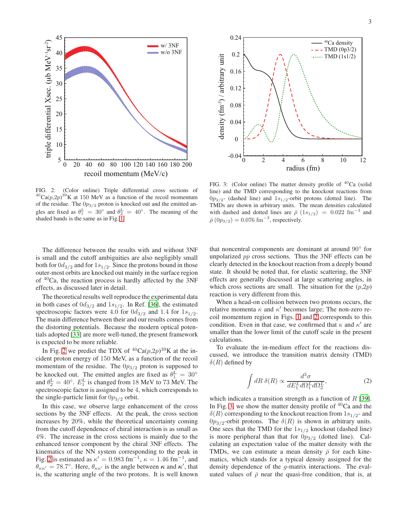

<span id="page-2-0"></span>FIG. 2: (Color online) Triple differential cross sections of  $^{40}Ca(p,2p)^{39}K$  at 150 MeV as a function of the recoil momentum of the residue. The  $0p_{3/2}$  proton is knocked out and the emitted angles are fixed as  $\theta_1^L = 30^\circ$  and  $\theta_2^L = 40^\circ$ . The meaning of the shaded bands is the same as in Fig. [1.](#page-1-1)

The difference between the results with and without 3NF is small and the cutoff ambiguities are also negligibly small both for  $0d_{3/2}$  and for  $1s_{1/2}$ . Since the protons bound in those outer-most orbits are knocked out mainly in the surface region of  $40$ Ca, the reaction process is hardly affected by the 3NF effects, as discussed later in detail.

The theoretical results well reproduce the experimental data in both cases of  $0d_{3/2}$  and  $1s_{1/2}$ . In Ref. [\[36\]](#page-4-17), the estimated spectroscopic factors were 4.0 for  $0d_{3/2}$  and 1.4 for  $1s_{1/2}$ . The main difference between their and our results comes from the distorting potentials. Because the modern optical potentials adopted [\[33\]](#page-4-18) are more well-tuned, the present framework is expected to be more reliable.

In Fig. [2](#page-2-0) we predict the TDX of  ${}^{40}Ca(p,2p){}^{39}K$  at the incident proton energy of 150 MeV, as a function of the recoil momentum of the residue. The  $0p_{3/2}$  proton is supposed to be knocked out. The emitted angles are fixed as  $\theta_1^L = 30^\circ$ and  $\theta_2^{\text{L}} = 40^{\circ}$ .  $E_1^{\text{L}}$  is changed from 18 MeV to 73 MeV. The spectroscopic factor is assigned to be 4, which corresponds to the single-particle limit for  $0p_{3/2}$  orbit.

In this case, we observe large enhancement of the cross sections by the 3NF effects. At the peak, the cross section increases by 20%, while the theoretical uncertainty coming from the cutoff dependence of chiral interaction is as small as 4%. The increase in the cross sections is mainly due to the enhanced tensor component by the chiral 3NF effects. The kinematics of the NN system corresponding to the peak in Fig. [2](#page-2-0) is estimated as  $\kappa' = 0.983$  fm<sup>-1</sup>,  $\kappa = 1.46$  fm<sup>-1</sup>, and  $\theta_{\kappa\kappa'} = 78.7^{\circ}$ . Here,  $\theta_{\kappa\kappa'}$  is the angle between  $\kappa$  and  $\kappa'$ , that is, the scattering angle of the two protons. It is well known



<span id="page-2-1"></span>FIG. 3: (Color online) The matter density profile of  ${}^{40}$ Ca (solid line) and the TMD corresponding to the knockout reactions from  $0p_{3/2}$ - (dashed line) and  $1s_{1/2}$ -orbit protons (dotted line). The TMDs are shown in arbitrary units. The mean densities calculated with dashed and dotted lines are  $\bar{\rho}$  (1s<sub>1/2</sub>) = 0.022 fm<sup>-3</sup> and  $\bar{\rho}(0p_{3/2}) = 0.076$  fm<sup>-3</sup>, respectively.

that noncentral components are dominant at around 90° for unpolarized pp cross sections. Thus the 3NF effects can be clearly detected in the knockout reaction from a deeply bound state. It should be noted that, for elastic scattering, the 3NF effects are generally discussed at large scattering angles, in which cross sections are small. The situation for the  $(p,2p)$ reaction is very different from this.

When a head-on collision between two protons occurs, the relative momenta  $\kappa$  and  $\kappa'$  becomes large; The non-zero recoil momentum region in Figs. [1](#page-1-1) and [2](#page-2-0) corresponds to this condition. Even in that case, we confirmed that  $\kappa$  and  $\kappa'$  are smaller than the lower limit of the cutoff scale in the present calculations.

To evaluate the in-medium effect for the reactions discussed, we introduce the transition matrix density (TMD)  $\delta(R)$  defined by

$$
\int dR \,\delta(R) \propto \frac{d^3\sigma}{dE_1^L d\Omega_1^L d\Omega_2^L},\tag{2}
$$

which indicates a transition strength as a function of  $R$  [\[39](#page-4-23)]. In Fig. [3,](#page-2-1) we show the matter density profile of  $40Ca$  and the  $\delta(R)$  corresponding to the knockout reaction from  $1s_{1/2}$ - and  $0p_{3/2}$ -orbit protons. The  $\delta(R)$  is shown in arbitrary units. One sees that the TMD for the  $1s_{1/2}$  knockout (dashed line) is more peripheral than that for  $0p_{3/2}$  (dotted line). Calculating an expectation value of the matter density with the TMDs, we can estimate a mean density  $\bar{\rho}$  for each kinematics, which stands for a typical density assigned for the density dependence of the g-matrix interactions. The evaluated values of  $\bar{\rho}$  near the quasi-free condition, that is, at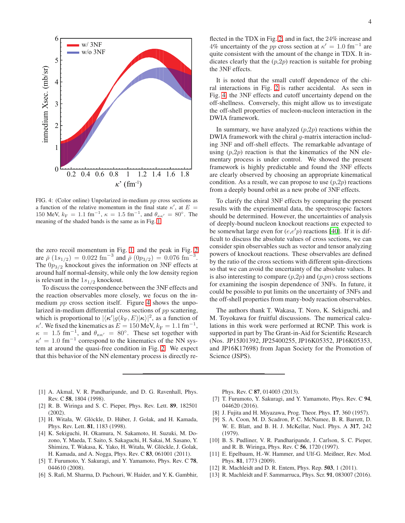

<span id="page-3-12"></span>FIG. 4: (Color online) Unpolarized in-medium pp cross sections as a function of the relative momentum in the final state  $\kappa'$ , at  $E =$ 150 MeV,  $k_F = 1.1 \text{ fm}^{-1}$ ,  $\kappa = 1.5 \text{ fm}^{-1}$ , and  $\theta_{\kappa \kappa'} = 80^\circ$ . The meaning of the shaded bands is the same as in Fig. [1.](#page-1-1)

the zero recoil momentum in Fig. [1,](#page-1-1) and the peak in Fig. [2](#page-2-0) are  $\bar{\rho}$  (1s<sub>1/2</sub>) = 0.022 fm<sup>-3</sup> and  $\bar{\rho}$  (0p<sub>3/2</sub>) = 0.076 fm<sup>-3</sup>. The  $0p_{3/2}$  knockout gives the information on 3NF effects at around half normal-density, while only the low density region is relevant in the  $1s_{1/2}$  knockout.

To discuss the correspondence between the 3NF effects and the reaction observables more closely, we focus on the inmedium *pp* cross section itself. Figure [4](#page-3-12) shows the unpolarized in-medium differential cross sections of pp scattering, which is proportional to  $|\langle \kappa' | g(k_{\rm F}, E) | \kappa \rangle|^2$ , as a function of  $\kappa'$ . We fixed the kinematics as  $E = 150$  MeV,  $k_F = 1.1$  fm<sup>-1</sup>,  $\kappa = 1.5$  fm<sup>-1</sup>, and  $\theta_{\kappa \kappa'} = 80^{\circ}$ . These set together with  $\kappa' = 1.0$  fm<sup>-1</sup> correspond to the kinematics of the NN system at around the quasi-free condition in Fig. [2.](#page-2-0) We expect that this behavior of the NN elementary process is directly re-

flected in the TDX in Fig. [2,](#page-2-0) and in fact, the 24% increase and 4% uncertainty of the pp cross section at  $\kappa' = 1.0$  fm<sup>-1</sup> are quite consistent with the amount of the change in TDX. It indicates clearly that the  $(p,2p)$  reaction is suitable for probing the 3NF effects.

It is noted that the small cutoff dependence of the chiral interactions in Fig. [2](#page-2-0) is rather accidental. As seen in Fig. [4,](#page-3-12) the 3NF effects and cutoff uncertainty depend on the off-shellness. Conversely, this might allow us to investigate the off-shell properties of nucleon-nucleon interaction in the DWIA framework.

In summary, we have analyzed  $(p,2p)$  reactions within the DWIA framework with the chiral g-matrix interaction including 3NF and off-shell effects. The remarkable advantage of using  $(p,2p)$  reaction is that the kinematics of the NN elementary process is under control. We showed the present framework is highly predictable and found the 3NF effects are clearly observed by choosing an appropriate kinematical condition. As a result, we can propose to use  $(p,2p)$  reactions from a deeply bound orbit as a new probe of 3NF effects.

To clarify the chiral 3NF effects by comparing the present results with the experimental data, the spectroscopic factors should be determined. However, the uncertainties of analysis of deeply-bound nucleon knockout reactions are expected to be somewhat large even for  $(e,e'p)$  reactions [\[40\]](#page-4-24). If it is difficult to discuss the absolute values of cross sections, we can consider spin observables such as vector and tensor analyzing powers of knockout reactions. These observables are defined by the ratio of the cross sections with different spin-directions so that we can avoid the uncertainty of the absolute values. It is also interesting to compare  $(p,2p)$  and  $(p,pn)$  cross sections for examining the isospin dependence of 3NFs. In future, it could be possible to put limits on the uncertainty of 3NFs and the off-shell properties from many-body reaction observables.

The authors thank T. Wakasa, T. Noro, K. Sekiguchi, and M. Toyokawa for fruitful discussions. The numerical calculations in this work were performed at RCNP. This work is supported in part by The Grant-in-Aid for Scientific Research (Nos. JP15J01392, JP25400255, JP16K05352, JP16K05353, and JP16K17698) from Japan Society for the Promotion of Science (JSPS).

- <span id="page-3-0"></span>[1] A. Akmal, V. R. Pandharipande, and D. G. Ravenhall, Phys. Rev. C 58, 1804 (1998).
- <span id="page-3-1"></span>[2] R. B. Wiringa and S. C. Pieper, Phys. Rev. Lett. 89, 182501 (2002).
- <span id="page-3-2"></span>[3] H. Witała, W. Glöckle, D. Hüber, J. Golak, and H. Kamada, Phys. Rev. Lett. 81, 1183 (1998).
- <span id="page-3-3"></span>[4] K. Sekiguchi, H. Okamura, N. Sakamoto, H. Suzuki, M. Dozono, Y. Maeda, T. Saito, S. Sakaguchi, H. Sakai, M. Sasano, Y. Shimizu, T. Wakasa, K. Yako, H. Witała, W. Glöckle, J. Golak, H. Kamada, and A. Nogga, Phys. Rev. C 83, 061001 (2011).
- <span id="page-3-4"></span>[5] T. Furumoto, Y. Sakuragi, and Y. Yamamoto, Phys. Rev. C 78, 044610 (2008).
- <span id="page-3-5"></span>[6] S. Rafi, M. Sharma, D. Pachouri, W. Haider, and Y. K. Gambhir,

Phys. Rev. C 87, 014003 (2013).

- <span id="page-3-6"></span>[7] T. Furumoto, Y. Sakuragi, and Y. Yamamoto, Phys. Rev. C 94, 044620 (2016).
- <span id="page-3-7"></span>[8] J. Fujita and H. Miyazawa, Prog. Theor. Phys. 17, 360 (1957).
- <span id="page-3-8"></span>[9] S. A. Coon, M. D. Scadron, P. C. McNamee, B. R. Barrett, D. W. E. Blatt, and B. H. J. McKellar, Nucl. Phys. A 317, 242 (1979).
- <span id="page-3-9"></span>[10] B. S. Pudliner, V. R. Pandharipande, J. Carlson, S. C. Pieper, and R. B. Wiringa, Phys. Rev. C 56, 1720 (1997).
- <span id="page-3-10"></span>[11] E. Epelbaum, H.-W. Hammer, and Ulf-G. Meißner, Rev. Mod. Phys. 81, 1773 (2009).
- [12] R. Machleidt and D. R. Entem, Phys. Rep. 503, 1 (2011).
- <span id="page-3-11"></span>[13] R. Machleidt and F. Sammarruca, Phys. Scr. 91, 083007 (2016).